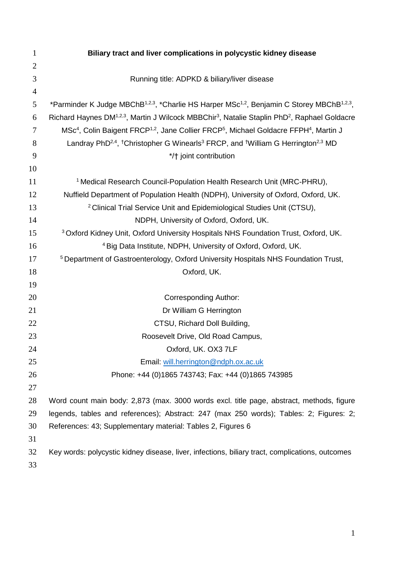| $\mathbf{1}$   | Biliary tract and liver complications in polycystic kidney disease                                                                          |  |  |  |  |  |  |
|----------------|---------------------------------------------------------------------------------------------------------------------------------------------|--|--|--|--|--|--|
| $\overline{2}$ |                                                                                                                                             |  |  |  |  |  |  |
| 3              | Running title: ADPKD & biliary/liver disease                                                                                                |  |  |  |  |  |  |
| 4              |                                                                                                                                             |  |  |  |  |  |  |
| 5              | *Parminder K Judge MBChB <sup>1,2,3</sup> , *Charlie HS Harper MSc <sup>1,2</sup> , Benjamin C Storey MBChB <sup>1,2,3</sup> ,              |  |  |  |  |  |  |
| 6              | Richard Haynes DM <sup>1,2,3</sup> , Martin J Wilcock MBBChir <sup>3</sup> , Natalie Staplin PhD <sup>2</sup> , Raphael Goldacre            |  |  |  |  |  |  |
| 7              | MSc <sup>4</sup> , Colin Baigent FRCP <sup>1,2</sup> , Jane Collier FRCP <sup>5</sup> , Michael Goldacre FFPH <sup>4</sup> , Martin J       |  |  |  |  |  |  |
| 8              | Landray PhD <sup>2,4</sup> , <sup>†</sup> Christopher G Winearls <sup>3</sup> FRCP, and <sup>†</sup> William G Herrington <sup>2,3</sup> MD |  |  |  |  |  |  |
| 9              | */† joint contribution                                                                                                                      |  |  |  |  |  |  |
| 10             |                                                                                                                                             |  |  |  |  |  |  |
| 11             | <sup>1</sup> Medical Research Council-Population Health Research Unit (MRC-PHRU),                                                           |  |  |  |  |  |  |
| 12             | Nuffield Department of Population Health (NDPH), University of Oxford, Oxford, UK.                                                          |  |  |  |  |  |  |
| 13             | <sup>2</sup> Clinical Trial Service Unit and Epidemiological Studies Unit (CTSU),                                                           |  |  |  |  |  |  |
| 14             | NDPH, University of Oxford, Oxford, UK.                                                                                                     |  |  |  |  |  |  |
| 15             | <sup>3</sup> Oxford Kidney Unit, Oxford University Hospitals NHS Foundation Trust, Oxford, UK.                                              |  |  |  |  |  |  |
| 16             | <sup>4</sup> Big Data Institute, NDPH, University of Oxford, Oxford, UK.                                                                    |  |  |  |  |  |  |
| 17             | <sup>5</sup> Department of Gastroenterology, Oxford University Hospitals NHS Foundation Trust,                                              |  |  |  |  |  |  |
| 18             | Oxford, UK.                                                                                                                                 |  |  |  |  |  |  |
| 19             |                                                                                                                                             |  |  |  |  |  |  |
| 20             | <b>Corresponding Author:</b>                                                                                                                |  |  |  |  |  |  |
| 21             | Dr William G Herrington                                                                                                                     |  |  |  |  |  |  |
| 22             | CTSU, Richard Doll Building,                                                                                                                |  |  |  |  |  |  |
| 23             | Roosevelt Drive, Old Road Campus,                                                                                                           |  |  |  |  |  |  |
| 24             | Oxford, UK. OX3 7LF                                                                                                                         |  |  |  |  |  |  |
| 25             | Email: will.herrington@ndph.ox.ac.uk                                                                                                        |  |  |  |  |  |  |
| 26             | Phone: +44 (0)1865 743743; Fax: +44 (0)1865 743985                                                                                          |  |  |  |  |  |  |
| 27             |                                                                                                                                             |  |  |  |  |  |  |
| 28             | Word count main body: 2,873 (max. 3000 words excl. title page, abstract, methods, figure                                                    |  |  |  |  |  |  |
| 29             | legends, tables and references); Abstract: 247 (max 250 words); Tables: 2; Figures: 2;                                                      |  |  |  |  |  |  |
| 30             | References: 43; Supplementary material: Tables 2, Figures 6                                                                                 |  |  |  |  |  |  |
| 31             |                                                                                                                                             |  |  |  |  |  |  |
| 32             | Key words: polycystic kidney disease, liver, infections, biliary tract, complications, outcomes                                             |  |  |  |  |  |  |
| 33             |                                                                                                                                             |  |  |  |  |  |  |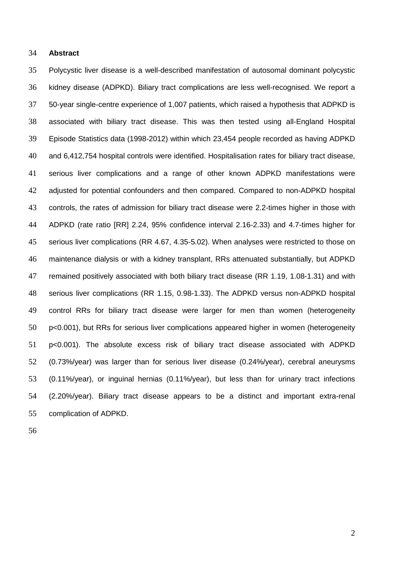### **Abstract**

 Polycystic liver disease is a well-described manifestation of autosomal dominant polycystic kidney disease (ADPKD). Biliary tract complications are less well-recognised. We report a 50-year single-centre experience of 1,007 patients, which raised a hypothesis that ADPKD is associated with biliary tract disease. This was then tested using all-England Hospital Episode Statistics data (1998-2012) within which 23,454 people recorded as having ADPKD and 6,412,754 hospital controls were identified. Hospitalisation rates for biliary tract disease, serious liver complications and a range of other known ADPKD manifestations were adjusted for potential confounders and then compared. Compared to non-ADPKD hospital controls, the rates of admission for biliary tract disease were 2.2-times higher in those with ADPKD (rate ratio [RR] 2.24, 95% confidence interval 2.16-2.33) and 4.7-times higher for serious liver complications (RR 4.67, 4.35-5.02). When analyses were restricted to those on maintenance dialysis or with a kidney transplant, RRs attenuated substantially, but ADPKD remained positively associated with both biliary tract disease (RR 1.19, 1.08-1.31) and with serious liver complications (RR 1.15, 0.98-1.33). The ADPKD versus non-ADPKD hospital control RRs for biliary tract disease were larger for men than women (heterogeneity p<0.001), but RRs for serious liver complications appeared higher in women (heterogeneity p<0.001). The absolute excess risk of biliary tract disease associated with ADPKD (0.73%/year) was larger than for serious liver disease (0.24%/year), cerebral aneurysms (0.11%/year), or inguinal hernias (0.11%/year), but less than for urinary tract infections (2.20%/year). Biliary tract disease appears to be a distinct and important extra-renal complication of ADPKD.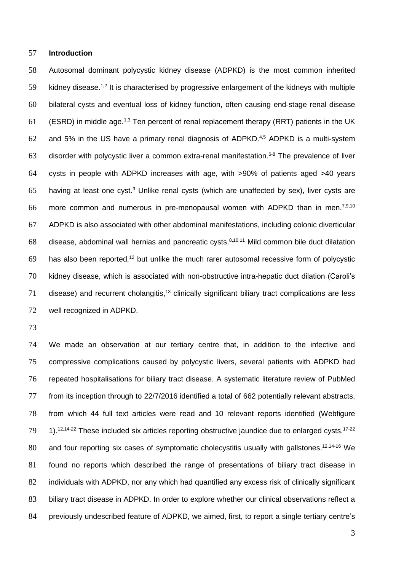## **Introduction**

 Autosomal dominant polycystic kidney disease (ADPKD) is the most common inherited 59 kidney disease.<sup>1,2</sup> It is characterised by progressive enlargement of the kidneys with multiple bilateral cysts and eventual loss of kidney function, often causing end-stage renal disease (ESRD) in middle age.<sup>1,3</sup> Ten percent of renal replacement therapy (RRT) patients in the UK 62 and 5% in the US have a primary renal diagnosis of ADPKD. $4,5$  ADPKD is a multi-system 63 disorder with polycystic liver a common extra-renal manifestation.<sup>6-8</sup> The prevalence of liver cysts in people with ADPKD increases with age, with >90% of patients aged >40 years 65 having at least one cyst. Unlike renal cysts (which are unaffected by sex), liver cysts are 66 more common and numerous in pre-menopausal women with ADPKD than in men.<sup>7,9,10</sup> ADPKD is also associated with other abdominal manifestations, including colonic diverticular 68 disease, abdominal wall hernias and pancreatic cysts.  $8,10,11$  Mild common bile duct dilatation has also been reported,<sup>12</sup> but unlike the much rarer autosomal recessive form of polycystic kidney disease, which is associated with non-obstructive intra-hepatic duct dilation (Caroli's disease) and recurrent cholangitis,<sup>13</sup> clinically significant biliary tract complications are less well recognized in ADPKD.

 We made an observation at our tertiary centre that, in addition to the infective and compressive complications caused by polycystic livers, several patients with ADPKD had repeated hospitalisations for biliary tract disease. A systematic literature review of PubMed from its inception through to 22/7/2016 identified a total of 662 potentially relevant abstracts, from which 44 full text articles were read and 10 relevant reports identified (Webfigure ,  $12,14-22$  These included six articles reporting obstructive jaundice due to enlarged cysts,  $17-22$ 80 and four reporting six cases of symptomatic cholecystitis usually with gallstones.<sup>12,14-16</sup> We found no reports which described the range of presentations of biliary tract disease in individuals with ADPKD, nor any which had quantified any excess risk of clinically significant 83 biliary tract disease in ADPKD. In order to explore whether our clinical observations reflect a previously undescribed feature of ADPKD, we aimed, first, to report a single tertiary centre's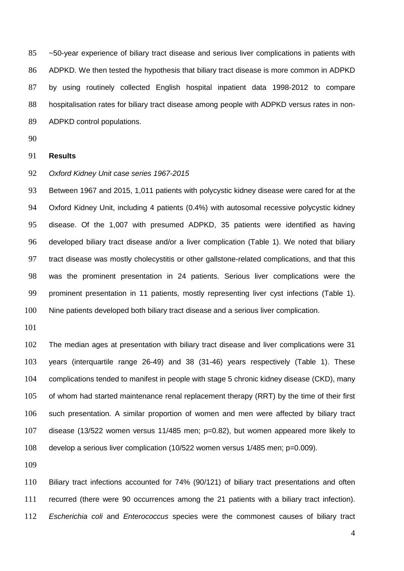~50-year experience of biliary tract disease and serious liver complications in patients with ADPKD. We then tested the hypothesis that biliary tract disease is more common in ADPKD by using routinely collected English hospital inpatient data 1998-2012 to compare hospitalisation rates for biliary tract disease among people with ADPKD versus rates in non-ADPKD control populations.

## **Results**

## *Oxford Kidney Unit case series 1967-2015*

 Between 1967 and 2015, 1,011 patients with polycystic kidney disease were cared for at the Oxford Kidney Unit, including 4 patients (0.4%) with autosomal recessive polycystic kidney disease. Of the 1,007 with presumed ADPKD, 35 patients were identified as having developed biliary tract disease and/or a liver complication (Table 1). We noted that biliary tract disease was mostly cholecystitis or other gallstone-related complications, and that this was the prominent presentation in 24 patients. Serious liver complications were the prominent presentation in 11 patients, mostly representing liver cyst infections (Table 1). Nine patients developed both biliary tract disease and a serious liver complication.

 The median ages at presentation with biliary tract disease and liver complications were 31 years (interquartile range 26-49) and 38 (31-46) years respectively (Table 1). These complications tended to manifest in people with stage 5 chronic kidney disease (CKD), many 105 of whom had started maintenance renal replacement therapy (RRT) by the time of their first such presentation. A similar proportion of women and men were affected by biliary tract disease (13/522 women versus 11/485 men; p=0.82), but women appeared more likely to develop a serious liver complication (10/522 women versus 1/485 men; p=0.009).

 Biliary tract infections accounted for 74% (90/121) of biliary tract presentations and often recurred (there were 90 occurrences among the 21 patients with a biliary tract infection). *Escherichia coli* and *Enterococcus* species were the commonest causes of biliary tract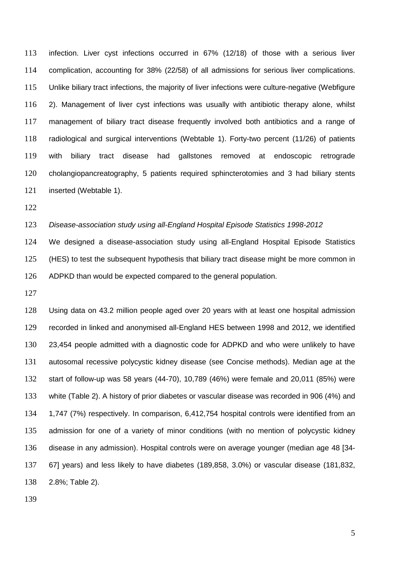infection. Liver cyst infections occurred in 67% (12/18) of those with a serious liver complication, accounting for 38% (22/58) of all admissions for serious liver complications. Unlike biliary tract infections, the majority of liver infections were culture-negative (Webfigure 2). Management of liver cyst infections was usually with antibiotic therapy alone, whilst management of biliary tract disease frequently involved both antibiotics and a range of radiological and surgical interventions (Webtable 1). Forty-two percent (11/26) of patients with biliary tract disease had gallstones removed at endoscopic retrograde cholangiopancreatography, 5 patients required sphincterotomies and 3 had biliary stents inserted (Webtable 1).

# *Disease-association study using all-England Hospital Episode Statistics 1998-2012*

 We designed a disease-association study using all-England Hospital Episode Statistics (HES) to test the subsequent hypothesis that biliary tract disease might be more common in ADPKD than would be expected compared to the general population.

 Using data on 43.2 million people aged over 20 years with at least one hospital admission recorded in linked and anonymised all-England HES between 1998 and 2012, we identified 23,454 people admitted with a diagnostic code for ADPKD and who were unlikely to have autosomal recessive polycystic kidney disease (see Concise methods). Median age at the start of follow-up was 58 years (44-70), 10,789 (46%) were female and 20,011 (85%) were white (Table 2). A history of prior diabetes or vascular disease was recorded in 906 (4%) and 1,747 (7%) respectively. In comparison, 6,412,754 hospital controls were identified from an admission for one of a variety of minor conditions (with no mention of polycystic kidney disease in any admission). Hospital controls were on average younger (median age 48 [34- 67] years) and less likely to have diabetes (189,858, 3.0%) or vascular disease (181,832, 2.8%; Table 2).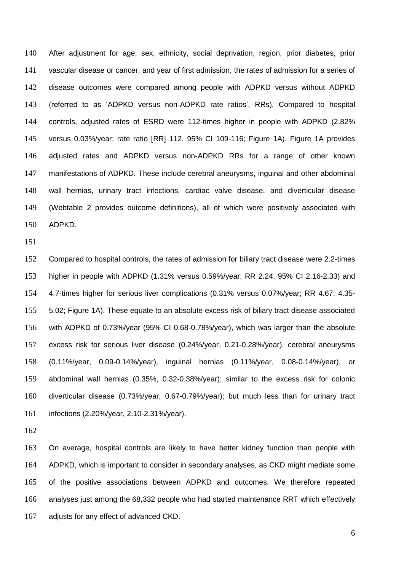After adjustment for age, sex, ethnicity, social deprivation, region, prior diabetes, prior vascular disease or cancer, and year of first admission, the rates of admission for a series of disease outcomes were compared among people with ADPKD versus without ADPKD (referred to as 'ADPKD versus non-ADPKD rate ratios', RRs). Compared to hospital controls, adjusted rates of ESRD were 112-times higher in people with ADPKD (2.82% versus 0.03%/year; rate ratio [RR] 112, 95% CI 109-116; Figure 1A). Figure 1A provides adjusted rates and ADPKD versus non-ADPKD RRs for a range of other known manifestations of ADPKD. These include cerebral aneurysms, inguinal and other abdominal wall hernias, urinary tract infections, cardiac valve disease, and diverticular disease (Webtable 2 provides outcome definitions), all of which were positively associated with ADPKD.

 Compared to hospital controls, the rates of admission for biliary tract disease were 2.2-times higher in people with ADPKD (1.31% versus 0.59%/year; RR 2.24, 95% CI 2.16-2.33) and 4.7-times higher for serious liver complications (0.31% versus 0.07%/year; RR 4.67, 4.35- 5.02; Figure 1A). These equate to an absolute excess risk of biliary tract disease associated with ADPKD of 0.73%/year (95% CI 0.68-0.78%/year), which was larger than the absolute excess risk for serious liver disease (0.24%/year, 0.21-0.28%/year), cerebral aneurysms (0.11%/year, 0.09-0.14%/year), inguinal hernias (0.11%/year, 0.08-0.14%/year), or abdominal wall hernias (0.35%, 0.32-0.38%/year); similar to the excess risk for colonic diverticular disease (0.73%/year, 0.67-0.79%/year); but much less than for urinary tract infections (2.20%/year, 2.10-2.31%/year).

 On average, hospital controls are likely to have better kidney function than people with ADPKD, which is important to consider in secondary analyses, as CKD might mediate some of the positive associations between ADPKD and outcomes. We therefore repeated analyses just among the 68,332 people who had started maintenance RRT which effectively adjusts for any effect of advanced CKD.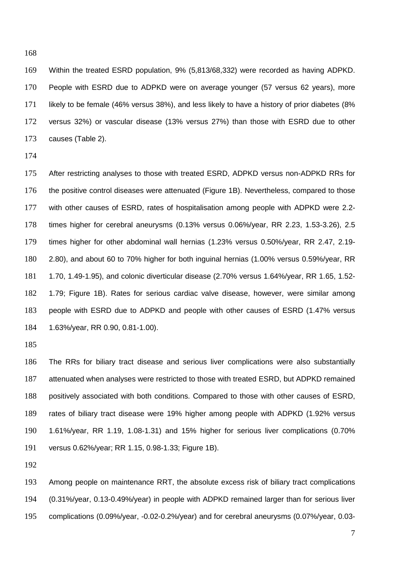Within the treated ESRD population, 9% (5,813/68,332) were recorded as having ADPKD. People with ESRD due to ADPKD were on average younger (57 versus 62 years), more likely to be female (46% versus 38%), and less likely to have a history of prior diabetes (8% versus 32%) or vascular disease (13% versus 27%) than those with ESRD due to other causes (Table 2).

 After restricting analyses to those with treated ESRD, ADPKD versus non-ADPKD RRs for 176 the positive control diseases were attenuated (Figure 1B). Nevertheless, compared to those with other causes of ESRD, rates of hospitalisation among people with ADPKD were 2.2- times higher for cerebral aneurysms (0.13% versus 0.06%/year, RR 2.23, 1.53-3.26), 2.5 times higher for other abdominal wall hernias (1.23% versus 0.50%/year, RR 2.47, 2.19- 2.80), and about 60 to 70% higher for both inguinal hernias (1.00% versus 0.59%/year, RR 1.70, 1.49-1.95), and colonic diverticular disease (2.70% versus 1.64%/year, RR 1.65, 1.52- 1.79; Figure 1B). Rates for serious cardiac valve disease, however, were similar among people with ESRD due to ADPKD and people with other causes of ESRD (1.47% versus 1.63%/year, RR 0.90, 0.81-1.00).

 The RRs for biliary tract disease and serious liver complications were also substantially attenuated when analyses were restricted to those with treated ESRD, but ADPKD remained positively associated with both conditions. Compared to those with other causes of ESRD, rates of biliary tract disease were 19% higher among people with ADPKD (1.92% versus 1.61%/year, RR 1.19, 1.08-1.31) and 15% higher for serious liver complications (0.70% versus 0.62%/year; RR 1.15, 0.98-1.33; Figure 1B).

 Among people on maintenance RRT, the absolute excess risk of biliary tract complications (0.31%/year, 0.13-0.49%/year) in people with ADPKD remained larger than for serious liver complications (0.09%/year, -0.02-0.2%/year) and for cerebral aneurysms (0.07%/year, 0.03-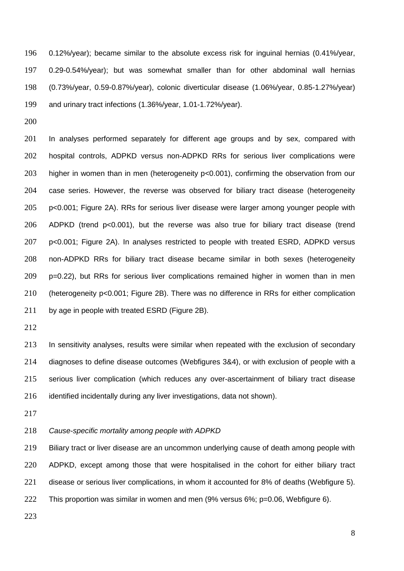0.12%/year); became similar to the absolute excess risk for inguinal hernias (0.41%/year, 0.29-0.54%/year); but was somewhat smaller than for other abdominal wall hernias (0.73%/year, 0.59-0.87%/year), colonic diverticular disease (1.06%/year, 0.85-1.27%/year) and urinary tract infections (1.36%/year, 1.01-1.72%/year).

 In analyses performed separately for different age groups and by sex, compared with hospital controls, ADPKD versus non-ADPKD RRs for serious liver complications were higher in women than in men (heterogeneity p<0.001), confirming the observation from our case series. However, the reverse was observed for biliary tract disease (heterogeneity p<0.001; Figure 2A). RRs for serious liver disease were larger among younger people with ADPKD (trend p<0.001), but the reverse was also true for biliary tract disease (trend p<0.001; Figure 2A). In analyses restricted to people with treated ESRD, ADPKD versus non-ADPKD RRs for biliary tract disease became similar in both sexes (heterogeneity p=0.22), but RRs for serious liver complications remained higher in women than in men (heterogeneity p<0.001; Figure 2B). There was no difference in RRs for either complication 211 by age in people with treated ESRD (Figure 2B).

 In sensitivity analyses, results were similar when repeated with the exclusion of secondary diagnoses to define disease outcomes (Webfigures 3&4), or with exclusion of people with a serious liver complication (which reduces any over-ascertainment of biliary tract disease identified incidentally during any liver investigations, data not shown).

*Cause-specific mortality among people with ADPKD*

 Biliary tract or liver disease are an uncommon underlying cause of death among people with ADPKD, except among those that were hospitalised in the cohort for either biliary tract disease or serious liver complications, in whom it accounted for 8% of deaths (Webfigure 5). This proportion was similar in women and men (9% versus 6%; p=0.06, Webfigure 6).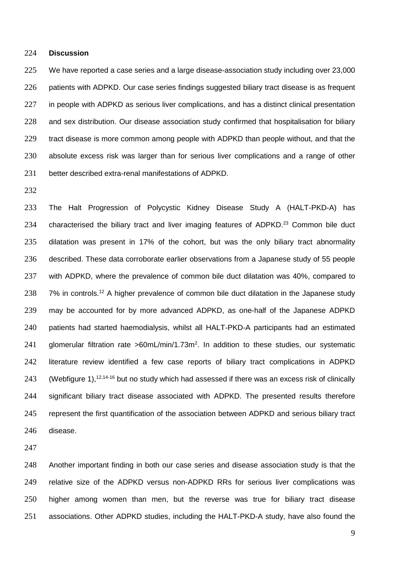#### **Discussion**

 We have reported a case series and a large disease-association study including over 23,000 patients with ADPKD. Our case series findings suggested biliary tract disease is as frequent in people with ADPKD as serious liver complications, and has a distinct clinical presentation and sex distribution. Our disease association study confirmed that hospitalisation for biliary tract disease is more common among people with ADPKD than people without, and that the absolute excess risk was larger than for serious liver complications and a range of other better described extra-renal manifestations of ADPKD.

 The Halt Progression of Polycystic Kidney Disease Study A (HALT-PKD-A) has 234 characterised the biliary tract and liver imaging features of  $ADPKD<sup>23</sup>$  Common bile duct dilatation was present in 17% of the cohort, but was the only biliary tract abnormality described. These data corroborate earlier observations from a Japanese study of 55 people with ADPKD, where the prevalence of common bile duct dilatation was 40%, compared to 238 7% in controls.<sup>12</sup> A higher prevalence of common bile duct dilatation in the Japanese study may be accounted for by more advanced ADPKD, as one-half of the Japanese ADPKD patients had started haemodialysis, whilst all HALT-PKD-A participants had an estimated 241 glomerular filtration rate >60mL/min/1.73m<sup>2</sup>. In addition to these studies, our systematic literature review identified a few case reports of biliary tract complications in ADPKD 243 (Webfigure 1),  $12,14-16$  but no study which had assessed if there was an excess risk of clinically significant biliary tract disease associated with ADPKD. The presented results therefore represent the first quantification of the association between ADPKD and serious biliary tract disease.

 Another important finding in both our case series and disease association study is that the relative size of the ADPKD versus non-ADPKD RRs for serious liver complications was higher among women than men, but the reverse was true for biliary tract disease associations. Other ADPKD studies, including the HALT-PKD-A study, have also found the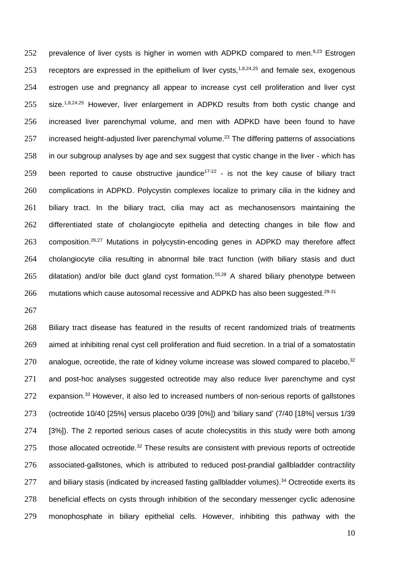252 prevalence of liver cysts is higher in women with ADPKD compared to men.<sup>9,23</sup> Estrogen 253 receptors are expressed in the epithelium of liver cysts,<sup>1,8,24,25</sup> and female sex, exogenous estrogen use and pregnancy all appear to increase cyst cell proliferation and liver cyst 255 size.<sup> $1,8,24,25$ </sup> However, liver enlargement in ADPKD results from both cystic change and increased liver parenchymal volume, and men with ADPKD have been found to have increased height-adjusted liver parenchymal volume.<sup>23</sup> The differing patterns of associations in our subgroup analyses by age and sex suggest that cystic change in the liver - which has 259 been reported to cause obstructive jaundice<sup>17-22</sup> - is not the key cause of biliary tract complications in ADPKD. Polycystin complexes localize to primary cilia in the kidney and biliary tract. In the biliary tract, cilia may act as mechanosensors maintaining the differentiated state of cholangiocyte epithelia and detecting changes in bile flow and composition. <sup>26,27</sup> Mutations in polycystin-encoding genes in ADPKD may therefore affect cholangiocyte cilia resulting in abnormal bile tract function (with biliary stasis and duct dilatation) and/or bile duct gland cyst formation.<sup>15,28</sup> A shared biliary phenotype between mutations which cause autosomal recessive and ADPKD has also been suggested.<sup>29-31</sup>

 Biliary tract disease has featured in the results of recent randomized trials of treatments aimed at inhibiting renal cyst cell proliferation and fluid secretion. In a trial of a somatostatin 270 analogue, ocreotide, the rate of kidney volume increase was slowed compared to placebo,  $32$ 271 and post-hoc analyses suggested octreotide may also reduce liver parenchyme and cyst expansion.<sup>33</sup> However, it also led to increased numbers of non-serious reports of gallstones (octreotide 10/40 [25%] versus placebo 0/39 [0%]) and 'biliary sand' (7/40 [18%] versus 1/39 [3%]). The 2 reported serious cases of acute cholecystitis in this study were both among 275 those allocated octreotide.<sup>32</sup> These results are consistent with previous reports of octreotide associated-gallstones, which is attributed to reduced post-prandial gallbladder contractility 277 and biliary stasis (indicated by increased fasting gallbladder volumes).<sup>34</sup> Octreotide exerts its beneficial effects on cysts through inhibition of the secondary messenger cyclic adenosine monophosphate in biliary epithelial cells. However, inhibiting this pathway with the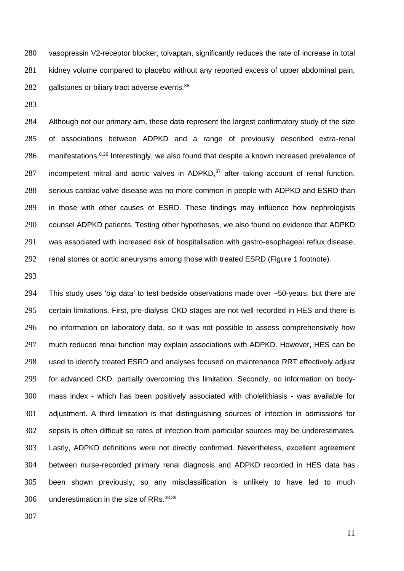vasopressin V2-receptor blocker, tolvaptan, significantly reduces the rate of increase in total kidney volume compared to placebo without any reported excess of upper abdominal pain, gallstones or biliary tract adverse events.<sup>35</sup>

 Although not our primary aim, these data represent the largest confirmatory study of the size of associations between ADPKD and a range of previously described extra-renal manifestations.<sup>8,36</sup> Interestingly, we also found that despite a known increased prevalence of 287 incompetent mitral and aortic valves in ADPKD, after taking account of renal function, serious cardiac valve disease was no more common in people with ADPKD and ESRD than in those with other causes of ESRD. These findings may influence how nephrologists counsel ADPKD patients. Testing other hypotheses, we also found no evidence that ADPKD was associated with increased risk of hospitalisation with gastro-esophageal reflux disease, renal stones or aortic aneurysms among those with treated ESRD (Figure 1 footnote).

294 This study uses 'big data' to test bedside observations made over  $\sim$ 50-years, but there are certain limitations. First, pre-dialysis CKD stages are not well recorded in HES and there is no information on laboratory data, so it was not possible to assess comprehensively how much reduced renal function may explain associations with ADPKD. However, HES can be used to identify treated ESRD and analyses focused on maintenance RRT effectively adjust for advanced CKD, partially overcoming this limitation. Secondly, no information on body- mass index - which has been positively associated with cholelithiasis - was available for adjustment. A third limitation is that distinguishing sources of infection in admissions for sepsis is often difficult so rates of infection from particular sources may be underestimates. Lastly, ADPKD definitions were not directly confirmed. Nevertheless, excellent agreement between nurse-recorded primary renal diagnosis and ADPKD recorded in HES data has been shown previously, so any misclassification is unlikely to have led to much 306 underestimation in the size of RRs.<sup>38,39</sup>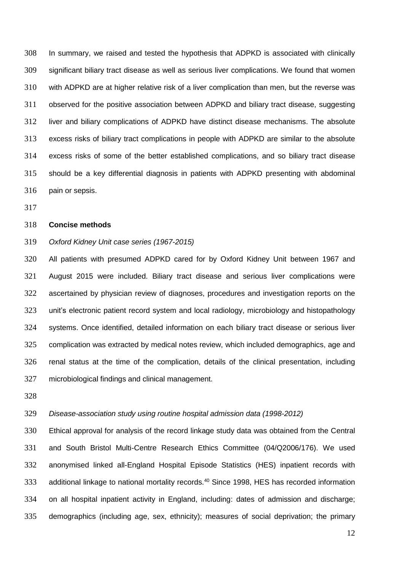In summary, we raised and tested the hypothesis that ADPKD is associated with clinically significant biliary tract disease as well as serious liver complications. We found that women with ADPKD are at higher relative risk of a liver complication than men, but the reverse was observed for the positive association between ADPKD and biliary tract disease, suggesting liver and biliary complications of ADPKD have distinct disease mechanisms. The absolute excess risks of biliary tract complications in people with ADPKD are similar to the absolute excess risks of some of the better established complications, and so biliary tract disease should be a key differential diagnosis in patients with ADPKD presenting with abdominal pain or sepsis.

#### **Concise methods**

# *Oxford Kidney Unit case series (1967-2015)*

 All patients with presumed ADPKD cared for by Oxford Kidney Unit between 1967 and August 2015 were included. Biliary tract disease and serious liver complications were ascertained by physician review of diagnoses, procedures and investigation reports on the unit's electronic patient record system and local radiology, microbiology and histopathology systems. Once identified, detailed information on each biliary tract disease or serious liver complication was extracted by medical notes review, which included demographics, age and renal status at the time of the complication, details of the clinical presentation, including microbiological findings and clinical management.

# *Disease-association study using routine hospital admission data (1998-2012)*

 Ethical approval for analysis of the record linkage study data was obtained from the Central and South Bristol Multi-Centre Research Ethics Committee (04/Q2006/176). We used anonymised linked all-England Hospital Episode Statistics (HES) inpatient records with 333 additional linkage to national mortality records.<sup>40</sup> Since 1998, HES has recorded information on all hospital inpatient activity in England, including: dates of admission and discharge; demographics (including age, sex, ethnicity); measures of social deprivation; the primary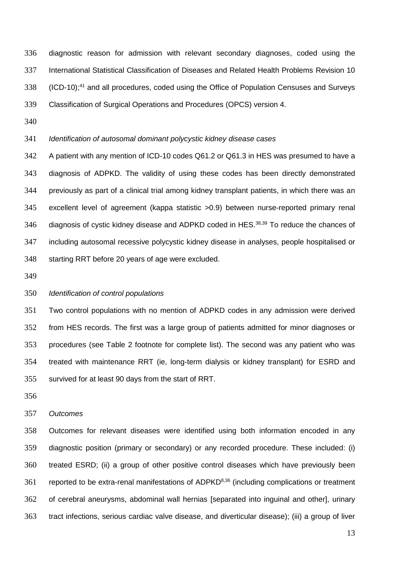diagnostic reason for admission with relevant secondary diagnoses, coded using the International Statistical Classification of Diseases and Related Health Problems Revision 10 338 (ICD-10);<sup>41</sup> and all procedures, coded using the Office of Population Censuses and Surveys Classification of Surgical Operations and Procedures (OPCS) version 4.

# *Identification of autosomal dominant polycystic kidney disease cases*

 A patient with any mention of ICD-10 codes Q61.2 or Q61.3 in HES was presumed to have a diagnosis of ADPKD. The validity of using these codes has been directly demonstrated previously as part of a clinical trial among kidney transplant patients, in which there was an excellent level of agreement (kappa statistic >0.9) between nurse-reported primary renal 346 diagnosis of cystic kidney disease and ADPKD coded in HES.<sup>38,39</sup> To reduce the chances of including autosomal recessive polycystic kidney disease in analyses, people hospitalised or starting RRT before 20 years of age were excluded.

# *Identification of control populations*

 Two control populations with no mention of ADPKD codes in any admission were derived from HES records. The first was a large group of patients admitted for minor diagnoses or procedures (see Table 2 footnote for complete list). The second was any patient who was treated with maintenance RRT (ie, long-term dialysis or kidney transplant) for ESRD and survived for at least 90 days from the start of RRT.

## *Outcomes*

 Outcomes for relevant diseases were identified using both information encoded in any diagnostic position (primary or secondary) or any recorded procedure. These included: (i) treated ESRD; (ii) a group of other positive control diseases which have previously been 361 reported to be extra-renal manifestations of ADPKD $8,36$  (including complications or treatment of cerebral aneurysms, abdominal wall hernias [separated into inguinal and other], urinary tract infections, serious cardiac valve disease, and diverticular disease); (iii) a group of liver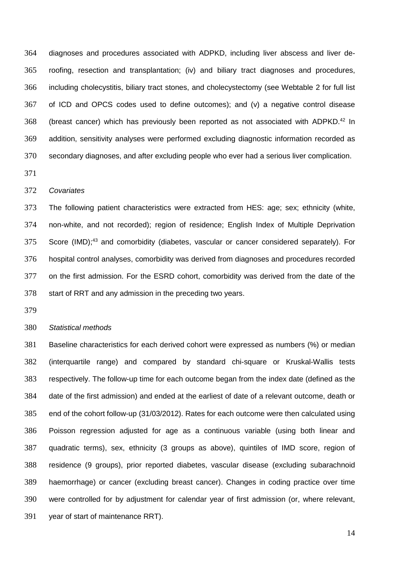diagnoses and procedures associated with ADPKD, including liver abscess and liver de- roofing, resection and transplantation; (iv) and biliary tract diagnoses and procedures, including cholecystitis, biliary tract stones, and cholecystectomy (see Webtable 2 for full list of ICD and OPCS codes used to define outcomes); and (v) a negative control disease 368 (breast cancer) which has previously been reported as not associated with ADPKD.<sup>42</sup> In addition, sensitivity analyses were performed excluding diagnostic information recorded as secondary diagnoses, and after excluding people who ever had a serious liver complication.

### *Covariates*

 The following patient characteristics were extracted from HES: age; sex; ethnicity (white, non-white, and not recorded); region of residence; English Index of Multiple Deprivation 375 Score (IMD);<sup>43</sup> and comorbidity (diabetes, vascular or cancer considered separately). For hospital control analyses, comorbidity was derived from diagnoses and procedures recorded on the first admission. For the ESRD cohort, comorbidity was derived from the date of the start of RRT and any admission in the preceding two years.

#### *Statistical methods*

 Baseline characteristics for each derived cohort were expressed as numbers (%) or median (interquartile range) and compared by standard chi-square or Kruskal-Wallis tests respectively. The follow-up time for each outcome began from the index date (defined as the date of the first admission) and ended at the earliest of date of a relevant outcome, death or end of the cohort follow-up (31/03/2012). Rates for each outcome were then calculated using Poisson regression adjusted for age as a continuous variable (using both linear and quadratic terms), sex, ethnicity (3 groups as above), quintiles of IMD score, region of residence (9 groups), prior reported diabetes, vascular disease (excluding subarachnoid haemorrhage) or cancer (excluding breast cancer). Changes in coding practice over time were controlled for by adjustment for calendar year of first admission (or, where relevant, year of start of maintenance RRT).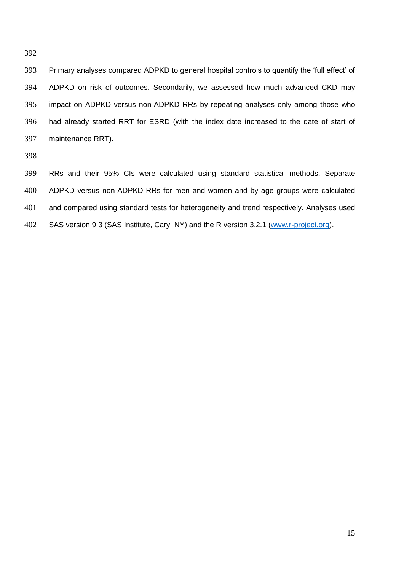Primary analyses compared ADPKD to general hospital controls to quantify the 'full effect' of ADPKD on risk of outcomes. Secondarily, we assessed how much advanced CKD may impact on ADPKD versus non-ADPKD RRs by repeating analyses only among those who had already started RRT for ESRD (with the index date increased to the date of start of maintenance RRT).

 RRs and their 95% CIs were calculated using standard statistical methods. Separate ADPKD versus non-ADPKD RRs for men and women and by age groups were calculated 401 and compared using standard tests for heterogeneity and trend respectively. Analyses used 402 SAS version 9.3 (SAS Institute, Cary, NY) and the R version 3.2.1 [\(www.r-project.org\)](http://www.r-project.org/).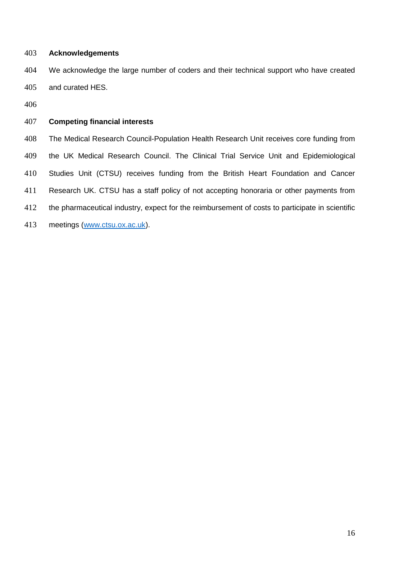# **Acknowledgements**

 We acknowledge the large number of coders and their technical support who have created and curated HES.

# **Competing financial interests**

 The Medical Research Council-Population Health Research Unit receives core funding from the UK Medical Research Council. The Clinical Trial Service Unit and Epidemiological Studies Unit (CTSU) receives funding from the British Heart Foundation and Cancer Research UK. CTSU has a staff policy of not accepting honoraria or other payments from 412 the pharmaceutical industry, expect for the reimbursement of costs to participate in scientific meetings [\(www.ctsu.ox.ac.uk\)](http://www.ctsu.ox.ac.uk/).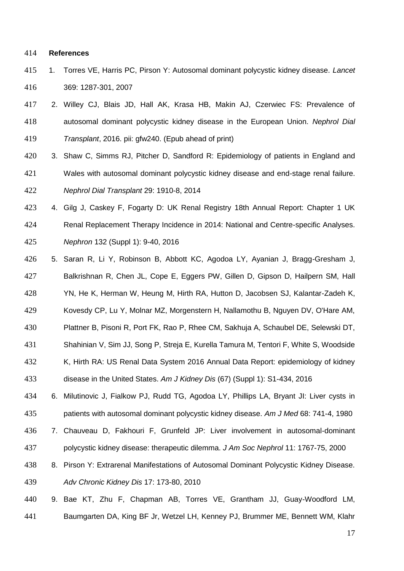#### **References**

- 1. Torres VE, Harris PC, Pirson Y: Autosomal dominant polycystic kidney disease. *Lancet* 369: 1287-301, 2007
- 2. Willey CJ, Blais JD, Hall AK, Krasa HB, Makin AJ, Czerwiec FS: Prevalence of autosomal dominant polycystic kidney disease in the European Union. *Nephrol Dial Transplant*, 2016. pii: gfw240. (Epub ahead of print)
- 3. Shaw C, Simms RJ, Pitcher D, Sandford R: Epidemiology of patients in England and Wales with autosomal dominant polycystic kidney disease and end-stage renal failure. *Nephrol Dial Transplant* 29: 1910-8, 2014
- 4. Gilg J, Caskey F, Fogarty D: UK Renal Registry 18th Annual Report: Chapter 1 UK Renal Replacement Therapy Incidence in 2014: National and Centre-specific Analyses. *Nephron* 132 (Suppl 1): 9-40, 2016
- 5. Saran R, Li Y, Robinson B, Abbott KC, Agodoa LY, Ayanian J, Bragg-Gresham J, Balkrishnan R, Chen JL, Cope E, Eggers PW, Gillen D, Gipson D, Hailpern SM, Hall YN, He K, Herman W, Heung M, Hirth RA, Hutton D, Jacobsen SJ, Kalantar-Zadeh K,
- Kovesdy CP, Lu Y, Molnar MZ, Morgenstern H, Nallamothu B, Nguyen DV, O'Hare AM,
- Plattner B, Pisoni R, Port FK, Rao P, Rhee CM, Sakhuja A, Schaubel DE, Selewski DT,
- Shahinian V, Sim JJ, Song P, Streja E, Kurella Tamura M, Tentori F, White S, Woodside
- K, Hirth RA: US Renal Data System 2016 Annual Data Report: epidemiology of kidney
- disease in the United States. *Am J Kidney Dis* (67) (Suppl 1): S1-434, 2016
- 6. Milutinovic J, Fialkow PJ, Rudd TG, Agodoa LY, Phillips LA, Bryant JI: Liver cysts in patients with autosomal dominant polycystic kidney disease. *Am J Med* 68: 741-4, 1980
- 7. Chauveau D, Fakhouri F, Grunfeld JP: Liver involvement in autosomal-dominant polycystic kidney disease: therapeutic dilemma. *J Am Soc Nephrol* 11: 1767-75, 2000
- 8. Pirson Y: Extrarenal Manifestations of Autosomal Dominant Polycystic Kidney Disease. *Adv Chronic Kidney Dis* 17: 173-80, 2010
- 9. Bae KT, Zhu F, Chapman AB, Torres VE, Grantham JJ, Guay-Woodford LM, Baumgarten DA, King BF Jr, Wetzel LH, Kenney PJ, Brummer ME, Bennett WM, Klahr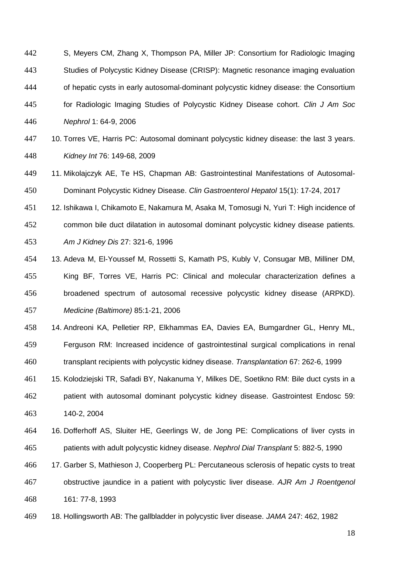- S, Meyers CM, Zhang X, Thompson PA, Miller JP: Consortium for Radiologic Imaging Studies of Polycystic Kidney Disease (CRISP): Magnetic resonance imaging evaluation of hepatic cysts in early autosomal-dominant polycystic kidney disease: the Consortium for Radiologic Imaging Studies of Polycystic Kidney Disease cohort. *Clin J Am Soc Nephrol* 1: 64-9, 2006
- 10. Torres VE, Harris PC: Autosomal dominant polycystic kidney disease: the last 3 years. *Kidney Int* 76: 149-68, 2009
- 11. Mikolajczyk AE, Te HS, Chapman AB: Gastrointestinal Manifestations of Autosomal-Dominant Polycystic Kidney Disease. *Clin Gastroenterol Hepatol* 15(1): 17-24, 2017
- 12. Ishikawa I, Chikamoto E, Nakamura M, Asaka M, Tomosugi N, Yuri T: High incidence of
- common bile duct dilatation in autosomal dominant polycystic kidney disease patients. *Am J Kidney Dis* 27: 321-6, 1996
- 13. Adeva M, El-Youssef M, Rossetti S, Kamath PS, Kubly V, Consugar MB, Milliner DM, King BF, Torres VE, Harris PC: Clinical and molecular characterization defines a broadened spectrum of autosomal recessive polycystic kidney disease (ARPKD). *Medicine (Baltimore)* 85:1-21, 2006
- 14. Andreoni KA, Pelletier RP, Elkhammas EA, Davies EA, Bumgardner GL, Henry ML, Ferguson RM: Increased incidence of gastrointestinal surgical complications in renal transplant recipients with polycystic kidney disease. *Transplantation* 67: 262-6, 1999
- 15. Kolodziejski TR, Safadi BY, Nakanuma Y, Milkes DE, Soetikno RM: Bile duct cysts in a patient with autosomal dominant polycystic kidney disease. Gastrointest Endosc 59: 140-2, 2004
- 16. Dofferhoff AS, Sluiter HE, Geerlings W, de Jong PE: Complications of liver cysts in patients with adult polycystic kidney disease. *Nephrol Dial Transplant* 5: 882-5, 1990
- 17. Garber S, Mathieson J, Cooperberg PL: Percutaneous sclerosis of hepatic cysts to treat obstructive jaundice in a patient with polycystic liver disease. *AJR Am J Roentgenol*
- 161: 77-8, 1993
- 18. Hollingsworth AB: The gallbladder in polycystic liver disease. *JAMA* 247: 462, 1982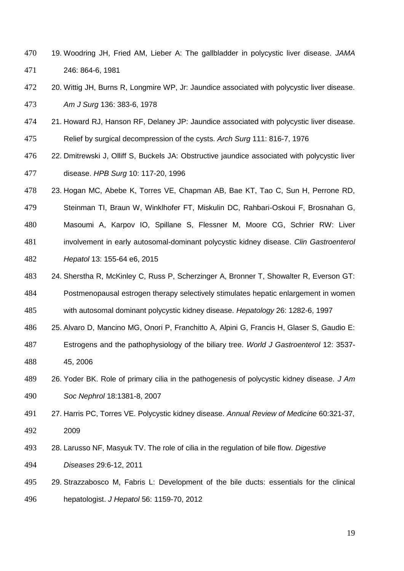- 19. Woodring JH, Fried AM, Lieber A: The gallbladder in polycystic liver disease. *JAMA* 246: 864-6, 1981
- 20. Wittig JH, Burns R, Longmire WP, Jr: Jaundice associated with polycystic liver disease. *Am J Surg* 136: 383-6, 1978
- 21. Howard RJ, Hanson RF, Delaney JP: Jaundice associated with polycystic liver disease.
- Relief by surgical decompression of the cysts. *Arch Surg* 111: 816-7, 1976
- 22. Dmitrewski J, Olliff S, Buckels JA: Obstructive jaundice associated with polycystic liver disease. *HPB Surg* 10: 117-20, 1996
- 23. Hogan MC, Abebe K, Torres VE, Chapman AB, Bae KT, Tao C, Sun H, Perrone RD, Steinman TI, Braun W, Winklhofer FT, Miskulin DC, Rahbari-Oskoui F, Brosnahan G,
- Masoumi A, Karpov IO, Spillane S, Flessner M, Moore CG, Schrier RW: Liver involvement in early autosomal-dominant polycystic kidney disease. *Clin Gastroenterol Hepatol* 13: 155-64 e6, 2015
- 24. Sherstha R, McKinley C, Russ P, Scherzinger A, Bronner T, Showalter R, Everson GT:
- Postmenopausal estrogen therapy selectively stimulates hepatic enlargement in women with autosomal dominant polycystic kidney disease. *Hepatology* 26: 1282-6, 1997
- 25. Alvaro D, Mancino MG, Onori P, Franchitto A, Alpini G, Francis H, Glaser S, Gaudio E:
- Estrogens and the pathophysiology of the biliary tree. *World J Gastroenterol* 12: 3537- 45, 2006
- 26. Yoder BK. Role of primary cilia in the pathogenesis of polycystic kidney disease*. J Am Soc Nephrol* 18:1381-8, 2007
- 27. Harris PC, Torres VE. Polycystic kidney disease. *Annual Review of Medicine* 60:321-37, 2009
- 28. Larusso NF, Masyuk TV. The role of cilia in the regulation of bile flow. *Digestive*

*Diseases* 29:6-12, 2011

 29. Strazzabosco M, Fabris L: Development of the bile ducts: essentials for the clinical hepatologist. *J Hepatol* 56: 1159-70, 2012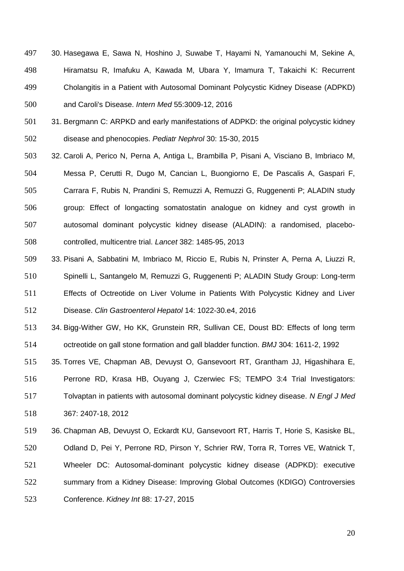- 30. Hasegawa E, Sawa N, Hoshino J, Suwabe T, Hayami N, Yamanouchi M, Sekine A, Hiramatsu R, Imafuku A, Kawada M, Ubara Y, Imamura T, Takaichi K: Recurrent Cholangitis in a Patient with Autosomal Dominant Polycystic Kidney Disease (ADPKD) and Caroli's Disease. *Intern Med* 55:3009-12, 2016
- 31. Bergmann C: ARPKD and early manifestations of ADPKD: the original polycystic kidney disease and phenocopies. *Pediatr Nephrol* 30: 15-30, 2015
- 32. Caroli A, Perico N, Perna A, Antiga L, Brambilla P, Pisani A, Visciano B, Imbriaco M, Messa P, Cerutti R, Dugo M, Cancian L, Buongiorno E, De Pascalis A, Gaspari F, Carrara F, Rubis N, Prandini S, Remuzzi A, Remuzzi G, Ruggenenti P; ALADIN study group: Effect of longacting somatostatin analogue on kidney and cyst growth in autosomal dominant polycystic kidney disease (ALADIN): a randomised, placebo-controlled, multicentre trial. *Lancet* 382: 1485-95, 2013
- 33. Pisani A, Sabbatini M, Imbriaco M, Riccio E, Rubis N, Prinster A, Perna A, Liuzzi R, Spinelli L, Santangelo M, Remuzzi G, Ruggenenti P; ALADIN Study Group: Long-term Effects of Octreotide on Liver Volume in Patients With Polycystic Kidney and Liver

Disease. *Clin Gastroenterol Hepatol* 14: 1022-30.e4, 2016

- 34. Bigg-Wither GW, Ho KK, Grunstein RR, Sullivan CE, Doust BD: Effects of long term octreotide on gall stone formation and gall bladder function. *BMJ* 304: 1611-2, 1992
- 35. Torres VE, Chapman AB, Devuyst O, Gansevoort RT, Grantham JJ, Higashihara E,

Perrone RD, Krasa HB, Ouyang J, Czerwiec FS; TEMPO 3:4 Trial Investigators:

 Tolvaptan in patients with autosomal dominant polycystic kidney disease. *N Engl J Med* 367: 2407-18, 2012

 36. Chapman AB, Devuyst O, Eckardt KU, Gansevoort RT, Harris T, Horie S, Kasiske BL, Odland D, Pei Y, Perrone RD, Pirson Y, Schrier RW, Torra R, Torres VE, Watnick T, Wheeler DC: Autosomal-dominant polycystic kidney disease (ADPKD): executive summary from a Kidney Disease: Improving Global Outcomes (KDIGO) Controversies Conference. *Kidney Int* 88: 17-27, 2015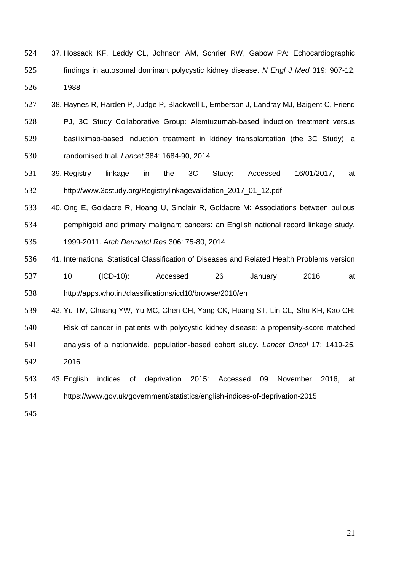- 37. Hossack KF, Leddy CL, Johnson AM, Schrier RW, Gabow PA: Echocardiographic findings in autosomal dominant polycystic kidney disease. *N Engl J Med* 319: 907-12, 1988
- 38. Haynes R, Harden P, Judge P, Blackwell L, Emberson J, Landray MJ, Baigent C, Friend PJ, 3C Study Collaborative Group: Alemtuzumab-based induction treatment versus basiliximab-based induction treatment in kidney transplantation (the 3C Study): a randomised trial. *Lancet* 384: 1684-90, 2014
- 39. Registry linkage in the 3C Study: Accessed 16/01/2017, at http://www.3cstudy.org/Registrylinkagevalidation\_2017\_01\_12.pdf
- 40. Ong E, Goldacre R, Hoang U, Sinclair R, Goldacre M: Associations between bullous pemphigoid and primary malignant cancers: an English national record linkage study, 1999-2011. *Arch Dermatol Res* 306: 75-80, 2014
- 41. International Statistical Classification of Diseases and Related Health Problems version 10 (ICD-10): Accessed 26 January 2016, at http://apps.who.int/classifications/icd10/browse/2010/en
- 42. Yu TM, Chuang YW, Yu MC, Chen CH, Yang CK, Huang ST, Lin CL, Shu KH, Kao CH: Risk of cancer in patients with polycystic kidney disease: a propensity-score matched analysis of a nationwide, population-based cohort study. *Lancet Oncol* 17: 1419-25, 2016
- 43. English indices of deprivation 2015: Accessed 09 November 2016, at https://www.gov.uk/government/statistics/english-indices-of-deprivation-2015
-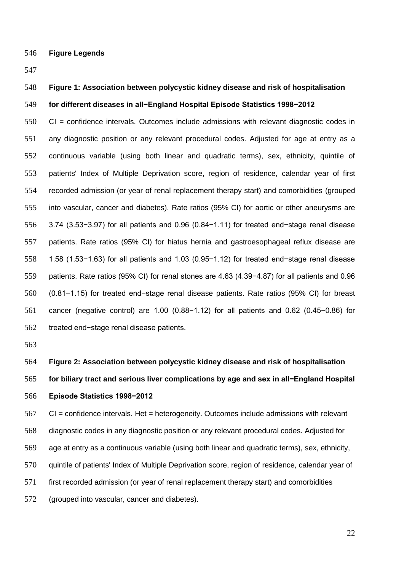**Figure Legends**

# **Figure 1: Association between polycystic kidney disease and risk of hospitalisation**

# **for different diseases in all−England Hospital Episode Statistics 1998−2012**

 CI = confidence intervals. Outcomes include admissions with relevant diagnostic codes in any diagnostic position or any relevant procedural codes. Adjusted for age at entry as a continuous variable (using both linear and quadratic terms), sex, ethnicity, quintile of patients' Index of Multiple Deprivation score, region of residence, calendar year of first recorded admission (or year of renal replacement therapy start) and comorbidities (grouped into vascular, cancer and diabetes). Rate ratios (95% CI) for aortic or other aneurysms are 3.74 (3.53−3.97) for all patients and 0.96 (0.84−1.11) for treated end−stage renal disease patients. Rate ratios (95% CI) for hiatus hernia and gastroesophageal reflux disease are 1.58 (1.53−1.63) for all patients and 1.03 (0.95−1.12) for treated end−stage renal disease patients. Rate ratios (95% CI) for renal stones are 4.63 (4.39−4.87) for all patients and 0.96 (0.81−1.15) for treated end−stage renal disease patients. Rate ratios (95% CI) for breast cancer (negative control) are 1.00 (0.88−1.12) for all patients and 0.62 (0.45−0.86) for treated end−stage renal disease patients.

 **Figure 2: Association between polycystic kidney disease and risk of hospitalisation for biliary tract and serious liver complications by age and sex in all−England Hospital Episode Statistics 1998−2012**

 CI = confidence intervals. Het = heterogeneity. Outcomes include admissions with relevant diagnostic codes in any diagnostic position or any relevant procedural codes. Adjusted for age at entry as a continuous variable (using both linear and quadratic terms), sex, ethnicity, quintile of patients' Index of Multiple Deprivation score, region of residence, calendar year of first recorded admission (or year of renal replacement therapy start) and comorbidities (grouped into vascular, cancer and diabetes).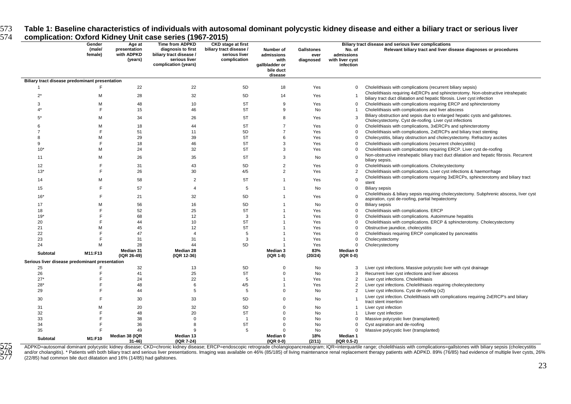573 **Table 1: Baseline characteristics of individuals with autosomal dominant polycystic kidney disease and either a biliary tract or serious liver** 

|                                                | Gender            | Age at                                | complication: Oxford Kidney Unit case series (1967-2015)<br><b>Time from ADPKD</b>     | <b>CKD</b> stage at first                                |                                                                           |                                        |                                                      | Biliary tract disease and serious liver complications                                                                                                                 |
|------------------------------------------------|-------------------|---------------------------------------|----------------------------------------------------------------------------------------|----------------------------------------------------------|---------------------------------------------------------------------------|----------------------------------------|------------------------------------------------------|-----------------------------------------------------------------------------------------------------------------------------------------------------------------------|
|                                                | (male/<br>female) | presentation<br>with ADPKD<br>(years) | diagnosis to first<br>biliary tract disease /<br>serious liver<br>complication (years) | biliary tract disease /<br>serious liver<br>complication | Number of<br>admissions<br>with<br>gallbladder or<br>bile duct<br>disease | <b>Gallstones</b><br>ever<br>diagnosed | No. of<br>admissions<br>with liver cyst<br>infection | Relevant biliary tract and liver disease diagnoses or procedures                                                                                                      |
| Biliary tract disease predominant presentation |                   |                                       |                                                                                        |                                                          |                                                                           |                                        |                                                      |                                                                                                                                                                       |
| $\overline{1}$                                 | F.                | 22                                    | 22                                                                                     | 5D                                                       | 18                                                                        | Yes                                    | 0                                                    | Cholelithiasis with complications (recurrent biliary sepsis)                                                                                                          |
| $2^*$                                          | M                 | 28                                    | 32                                                                                     | 5D                                                       | 14                                                                        | Yes                                    |                                                      | Cholelithiasis requiring 4xERCPs and sphincterotomy. Non-obstructive intrahepatic<br>biliary tract duct dilatation and hepatic fibrosis. Liver cyst infection         |
| 3                                              | м                 | 48                                    | 10                                                                                     | 5T                                                       | 9                                                                         | Yes                                    | $\mathbf 0$                                          | Cholelithiasis with complications requiring ERCP and sphincterotomy                                                                                                   |
| $\Delta$                                       | F                 | 15                                    | 46                                                                                     | 5T                                                       | 9                                                                         | No                                     | $\overline{1}$                                       | Cholelithiasis with complications and liver abscess                                                                                                                   |
| $5^*$                                          | м                 | 34                                    | 26                                                                                     | 5T                                                       | 8                                                                         | Yes                                    | 3                                                    | Biliary obstruction and sepsis due to enlarged hepatic cysts and gallstones.<br>Cholecystectomy. Cyst de-roofing. Liver cyst infections                               |
| 6                                              | M                 | 18                                    | 44                                                                                     | 5T                                                       | $\overline{7}$                                                            | Yes                                    | $\mathbf 0$                                          | Cholelithiasis with complications, 3xERCPs and sphincterotomy                                                                                                         |
| $\overline{7}$                                 | F                 | 51                                    | 11                                                                                     | 5D                                                       | $\overline{7}$                                                            | Yes                                    | 0                                                    | Cholelithiasis with complications, 2xERCPs and biliary tract stenting                                                                                                 |
| 8                                              | М                 | 29                                    | 39                                                                                     | 5T                                                       | 6                                                                         | Yes                                    | $\mathbf 0$                                          |                                                                                                                                                                       |
|                                                |                   |                                       |                                                                                        |                                                          |                                                                           |                                        |                                                      | Cholecystitis, biliary obstruction and cholecystectomy. Refractory ascites                                                                                            |
| 9                                              | F                 | 18                                    | 46                                                                                     | 5T                                                       | 3                                                                         | Yes                                    | $\mathbf 0$                                          | Cholelithiasis with complications (recurrent cholecystitis)                                                                                                           |
| $10*$<br>11                                    | M<br>м            | 24<br>26                              | 32<br>35                                                                               | 5T<br>5T                                                 | 3<br>3                                                                    | Yes<br>No                              | 0<br>0                                               | Cholelithiasis with complications requiring ERCP. Liver cyst de-roofing<br>Non-obstructive intrahepatic biliary tract duct dilatation and hepatic fibrosis. Recurrent |
|                                                |                   |                                       |                                                                                        |                                                          |                                                                           |                                        |                                                      | biliary sepsis.                                                                                                                                                       |
| 12                                             | F                 | 31                                    | 43                                                                                     | 5D                                                       | $\overline{2}$                                                            | Yes                                    | $\mathbf{0}$                                         | Cholelithiasis with complications. Cholecystectomy                                                                                                                    |
| $13*$                                          | F                 | 26                                    | 30                                                                                     | 4/5                                                      | $\overline{2}$                                                            | Yes                                    | 2                                                    | Cholelithiasis with complications. Liver cyst infections & haemorrhage                                                                                                |
| 14                                             | M                 | 58                                    | $\overline{2}$                                                                         | 5T                                                       | $\overline{1}$                                                            | Yes                                    | $\mathbf 0$                                          | Cholelithiasis with complications requiring 3xERCPs, sphincterotomy and biliary tract<br>stent                                                                        |
| 15                                             | F                 | 57                                    | $\overline{4}$                                                                         | 5                                                        | $\overline{1}$                                                            | No                                     | $\mathbf 0$                                          | <b>Biliary sepsis</b>                                                                                                                                                 |
| $16*$                                          | F                 | 21                                    | 32                                                                                     | 5D                                                       | $\overline{1}$                                                            | Yes                                    | $\mathbf 0$                                          | Cholelithiasis & biliary sepsis requiring cholecystectomy. Subphrenic abscess, liver cyst<br>aspiration, cyst de-roofing, partial hepatectomy                         |
| 17                                             | M                 | 56                                    | 16                                                                                     | 5D                                                       | $\overline{1}$                                                            | No                                     | $\mathbf 0$                                          | <b>Biliary sepsis</b>                                                                                                                                                 |
| 18                                             | F                 | 52                                    | 25                                                                                     | 5T                                                       | $\overline{1}$                                                            | Yes                                    | 0                                                    | Cholelithiasis with complications. ERCP                                                                                                                               |
| $19*$                                          | F                 | 68                                    | 12                                                                                     | 3                                                        | $\overline{1}$                                                            | Yes                                    | 0                                                    | Cholelithiasis with complications. Autoimmune hepatitis                                                                                                               |
| 20                                             | F                 | 44                                    | 10                                                                                     | 5T                                                       | $\overline{1}$                                                            | Yes                                    | 0                                                    | Cholelithiasis with complications. ERCP & sphincterotomy. Cholecystectomy                                                                                             |
| 21                                             | M                 | 45                                    | 12                                                                                     | 5T                                                       | -1                                                                        | Yes                                    | $\mathbf 0$                                          | Obstructive jaundice, cholecystitis                                                                                                                                   |
| 22                                             | F                 | 47                                    | $\overline{4}$                                                                         | 5                                                        | $\overline{1}$                                                            | Yes                                    | $\mathbf 0$                                          | Cholelithiasis requiring ERCP complicated by pancreatitis                                                                                                             |
| 23                                             | F                 | 31                                    | 31                                                                                     | 3                                                        | $\overline{1}$                                                            | Yes                                    | $\mathbf 0$                                          | Cholecystectomy                                                                                                                                                       |
| 24                                             | M                 | 28                                    | 44                                                                                     | 5D                                                       |                                                                           | Yes                                    | $\mathbf 0$                                          | Cholecystectomy                                                                                                                                                       |
| Subtotal                                       | M11:F13           | Median 31<br>(IQR 26-49)              | Median 28<br>(IQR 12-36)                                                               |                                                          | Median 3<br>(IQR 1-8)                                                     | 83%<br>(20/24)                         | Median 0<br>$( IQR 0-0)$                             |                                                                                                                                                                       |
| Serious liver disease predominant presentation |                   |                                       |                                                                                        |                                                          |                                                                           |                                        |                                                      |                                                                                                                                                                       |
|                                                |                   |                                       |                                                                                        |                                                          |                                                                           |                                        |                                                      |                                                                                                                                                                       |
| 25                                             |                   | 32                                    | 13                                                                                     | 5D                                                       | $\Omega$<br>$\Omega$                                                      | No                                     | 3                                                    | Liver cyst infections. Massive polycystic liver with cyst drainage                                                                                                    |
| 26                                             |                   | 41                                    | 25                                                                                     | 5T                                                       |                                                                           | No                                     | 3                                                    | Recurrent liver cyst infections and liver abscess                                                                                                                     |
| $27*$                                          |                   | 24                                    | 22                                                                                     | 5                                                        | $\overline{1}$                                                            | Yes                                    | 2                                                    | Liver cyst infections. Cholelithiasis                                                                                                                                 |
| $28*$                                          | F                 | 48                                    | 6                                                                                      | 4/5                                                      | $\overline{1}$                                                            | Yes                                    | 2                                                    | Liver cyst infections. Cholelithiasis requiring cholecystectomy                                                                                                       |
| 29<br>30                                       | F<br>F            | 44<br>30                              | 5<br>33                                                                                | 5<br>5D                                                  | $\Omega$<br>$\Omega$                                                      | No<br>No                               | 2                                                    | Liver cyst infections. Cyst de-roofing (x2)<br>Liver cyst infection. Cholelithiasis with complications requiring 2xERCP's and biliary                                 |
| 31                                             | м                 | 20                                    | 32                                                                                     | 5D                                                       | $\mathbf 0$                                                               | No                                     | -1                                                   | tract stent insertion<br>Liver cyst infection                                                                                                                         |
| 32                                             |                   | 48                                    | 20                                                                                     | 5T                                                       | $\Omega$                                                                  | No                                     | -1                                                   | Lliver cyst infection                                                                                                                                                 |
| 33                                             | F                 | 38                                    | $\mathbf 0$                                                                            | -1                                                       | $\Omega$                                                                  | No                                     | 0                                                    | Massive polycystic liver (transplanted)                                                                                                                               |
| 34                                             |                   | 36                                    | 8                                                                                      | 5T                                                       | $\Omega$                                                                  | No                                     | $\mathbf 0$                                          | Cyst aspiration and de-roofing                                                                                                                                        |
| 35                                             |                   | 49                                    | g                                                                                      | 5                                                        | $\Omega$                                                                  | No                                     | $\Omega$                                             | Massive polycystic liver (transplanted)                                                                                                                               |
|                                                |                   | Median 38 (IQR                        | Median 13                                                                              |                                                          | Median 0                                                                  | 18%                                    | Median 1                                             |                                                                                                                                                                       |
| Subtotal                                       | M1:F10            | $31 - 46$                             | (IQR 7-24)                                                                             |                                                          | $( IQR 0-0)$                                                              | (2/11)                                 | $( IQR 0.5-2)$                                       |                                                                                                                                                                       |

and dominant polycystic kidney disease; CKD=chronic kidney disease; ERCP=endoscopic retrograde cholangiopancreatogram; IQR =0.5-2)<br>576 and/or cholangitis). \* Patients with both biliary tract and serious liver presentations